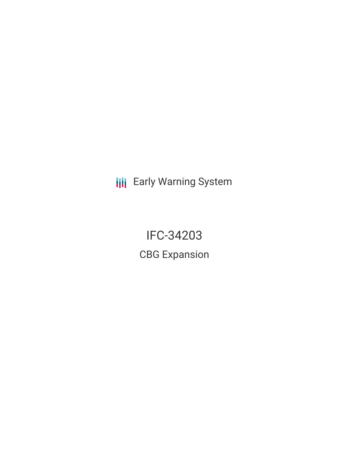**III** Early Warning System

IFC-34203 CBG Expansion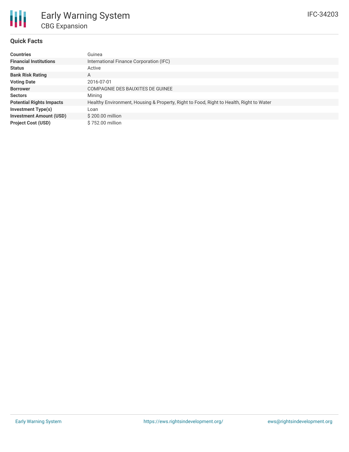

### **Quick Facts**

| <b>Countries</b>                | Guinea                                                                                  |
|---------------------------------|-----------------------------------------------------------------------------------------|
| <b>Financial Institutions</b>   | International Finance Corporation (IFC)                                                 |
| <b>Status</b>                   | Active                                                                                  |
| <b>Bank Risk Rating</b>         | A                                                                                       |
| <b>Voting Date</b>              | 2016-07-01                                                                              |
| <b>Borrower</b>                 | COMPAGNIE DES BAUXITES DE GUINEE                                                        |
| <b>Sectors</b>                  | Mining                                                                                  |
| <b>Potential Rights Impacts</b> | Healthy Environment, Housing & Property, Right to Food, Right to Health, Right to Water |
| Investment Type(s)              | Loan                                                                                    |
| <b>Investment Amount (USD)</b>  | $$200.00$ million                                                                       |
| <b>Project Cost (USD)</b>       | \$752.00 million                                                                        |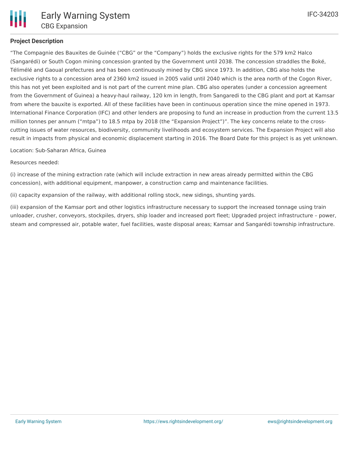## **Project Description**

"The Compagnie des Bauxites de Guinée ("CBG" or the "Company") holds the exclusive rights for the 579 km2 Halco (Sangarédi) or South Cogon mining concession granted by the Government until 2038. The concession straddles the Boké, Télimélé and Gaoual prefectures and has been continuously mined by CBG since 1973. In addition, CBG also holds the exclusive rights to a concession area of 2360 km2 issued in 2005 valid until 2040 which is the area north of the Cogon River, this has not yet been exploited and is not part of the current mine plan. CBG also operates (under a concession agreement from the Government of Guinea) a heavy-haul railway, 120 km in length, from Sangaredi to the CBG plant and port at Kamsar from where the bauxite is exported. All of these facilities have been in continuous operation since the mine opened in 1973. International Finance Corporation (IFC) and other lenders are proposing to fund an increase in production from the current 13.5 million tonnes per annum ("mtpa") to 18.5 mtpa by 2018 (the "Expansion Project")". The key concerns relate to the crosscutting issues of water resources, biodiversity, community livelihoods and ecosystem services. The Expansion Project will also result in impacts from physical and economic displacement starting in 2016. The Board Date for this project is as yet unknown.

Location: Sub-Saharan Africa, Guinea

Resources needed:

(i) increase of the mining extraction rate (which will include extraction in new areas already permitted within the CBG concession), with additional equipment, manpower, a construction camp and maintenance facilities.

(ii) capacity expansion of the railway, with additional rolling stock, new sidings, shunting yards.

(iii) expansion of the Kamsar port and other logistics infrastructure necessary to support the increased tonnage using train unloader, crusher, conveyors, stockpiles, dryers, ship loader and increased port fleet; Upgraded project infrastructure – power, steam and compressed air, potable water, fuel facilities, waste disposal areas; Kamsar and Sangarédi township infrastructure.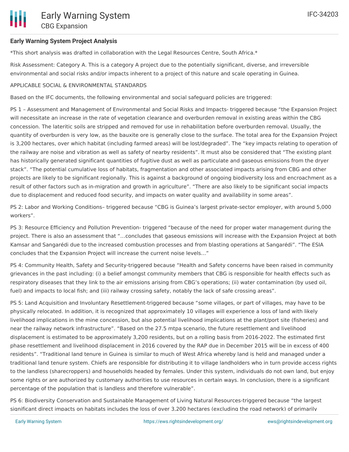# **Early Warning System Project Analysis**

\*This short analysis was drafted in collaboration with the Legal Resources Centre, South Africa.\*

Risk Assessment: Category A. This is a category A project due to the potentially significant, diverse, and irreversible environmental and social risks and/or impacts inherent to a project of this nature and scale operating in Guinea.

# APPLICABLE SOCIAL & ENVIRONMENTAL STANDARDS

Based on the IFC documents, the following environmental and social safeguard policies are triggered:

PS 1 – Assessment and Management of Environmental and Social Risks and Impacts- triggered because "the Expansion Project will necessitate an increase in the rate of vegetation clearance and overburden removal in existing areas within the CBG concession. The lateritic soils are stripped and removed for use in rehabilitation before overburden removal. Usually, the quantity of overburden is very low, as the bauxite ore is generally close to the surface. The total area for the Expansion Project is 3,200 hectares, over which habitat (including farmed areas) will be lost/degraded". The "key impacts relating to operation of the railway are noise and vibration as well as safety of nearby residents". It must also be considered that "The existing plant has historically generated significant quantities of fugitive dust as well as particulate and gaseous emissions from the dryer stack". "The potential cumulative loss of habitats, fragmentation and other associated impacts arising from CBG and other projects are likely to be significant regionally. This is against a background of ongoing biodiversity loss and encroachment as a result of other factors such as in-migration and growth in agriculture". "There are also likely to be significant social impacts due to displacement and reduced food security, and impacts on water quality and availability in some areas".

PS 2: Labor and Working Conditions– triggered because "CBG is Guinea's largest private-sector employer, with around 5,000 workers".

PS 3: Resource Efficiency and Pollution Prevention- triggered "because of the need for proper water management during the project. There is also an assessment that "…concludes that gaseous emissions will increase with the Expansion Project at both Kamsar and Sangarédi due to the increased combustion processes and from blasting operations at Sangarédi". "The ESIA concludes that the Expansion Project will increase the current noise levels…"

PS 4: Community Health, Safety and Security-triggered because "Health and Safety concerns have been raised in community grievances in the past including: (i) a belief amongst community members that CBG is responsible for health effects such as respiratory diseases that they link to the air emissions arising from CBG's operations; (ii) water contamination (by used oil, fuel) and impacts to local fish; and (iii) railway crossing safety, notably the lack of safe crossing areas".

PS 5: Land Acquisition and Involuntary Resettlement-triggered because "some villages, or part of villages, may have to be physically relocated. In addition, it is recognized that approximately 10 villages will experience a loss of land with likely livelihood implications in the mine concession, but also potential livelihood implications at the plant/port site (fisheries) and near the railway network infrastructure". "Based on the 27.5 mtpa scenario, the future resettlement and livelihood displacement is estimated to be approximately 3,200 residents, but on a rolling basis from 2016-2022. The estimated first phase resettlement and livelihood displacement in 2016 covered by the RAP due in December 2015 will be in excess of 400 residents". "Traditional land tenure in Guinea is similar to much of West Africa whereby land is held and managed under a traditional land tenure system. Chiefs are responsible for distributing it to village landholders who in turn provide access rights to the landless (sharecroppers) and households headed by females. Under this system, individuals do not own land, but enjoy some rights or are authorized by customary authorities to use resources in certain ways. In conclusion, there is a significant percentage of the population that is landless and therefore vulnerable".

PS 6: Biodiversity Conservation and Sustainable Management of Living Natural Resources-triggered because "the largest significant direct impacts on habitats includes the loss of over 3,200 hectares (excluding the road network) of primarily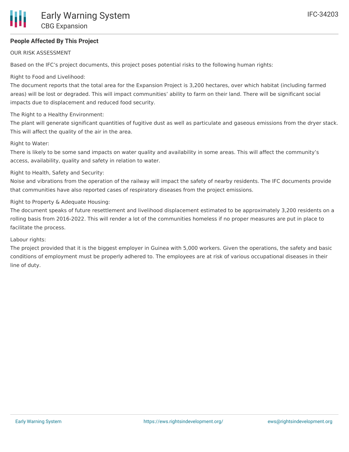## **People Affected By This Project**

#### OUR RISK ASSESSMENT

Based on the IFC's project documents, this project poses potential risks to the following human rights:

Right to Food and Livelihood:

The document reports that the total area for the Expansion Project is 3,200 hectares, over which habitat (including farmed areas) will be lost or degraded. This will impact communities' ability to farm on their land. There will be significant social impacts due to displacement and reduced food security.

#### The Right to a Healthy Environment:

The plant will generate significant quantities of fugitive dust as well as particulate and gaseous emissions from the dryer stack. This will affect the quality of the air in the area.

#### Right to Water:

There is likely to be some sand impacts on water quality and availability in some areas. This will affect the community's access, availability, quality and safety in relation to water.

#### Right to Health, Safety and Security:

Noise and vibrations from the operation of the railway will impact the safety of nearby residents. The IFC documents provide that communities have also reported cases of respiratory diseases from the project emissions.

#### Right to Property & Adequate Housing:

The document speaks of future resettlement and livelihood displacement estimated to be approximately 3,200 residents on a rolling basis from 2016-2022. This will render a lot of the communities homeless if no proper measures are put in place to facilitate the process.

#### Labour rights:

The project provided that it is the biggest employer in Guinea with 5,000 workers. Given the operations, the safety and basic conditions of employment must be properly adhered to. The employees are at risk of various occupational diseases in their line of duty.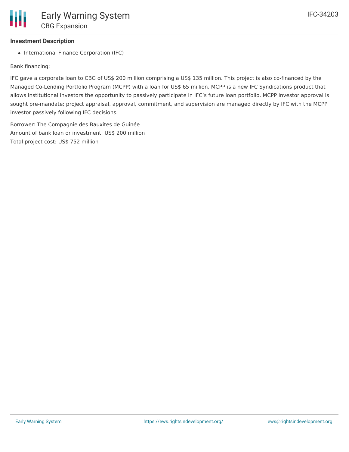# **Investment Description**

• International Finance Corporation (IFC)

Bank financing:

IFC gave a corporate loan to CBG of US\$ 200 million comprising a US\$ 135 million. This project is also co-financed by the Managed Co-Lending Portfolio Program (MCPP) with a loan for US\$ 65 million. MCPP is a new IFC Syndications product that allows institutional investors the opportunity to passively participate in IFC's future loan portfolio. MCPP investor approval is sought pre-mandate; project appraisal, approval, commitment, and supervision are managed directly by IFC with the MCPP investor passively following IFC decisions.

Borrower: The Compagnie des Bauxites de Guinée Amount of bank loan or investment: US\$ 200 million Total project cost: US\$ 752 million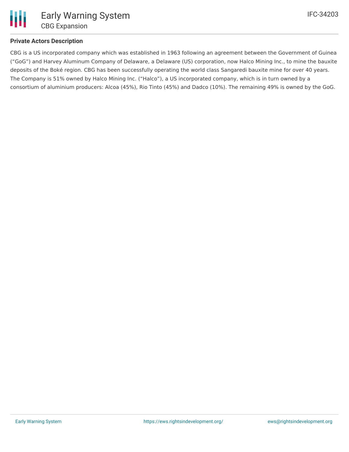

### **Private Actors Description**

CBG is a US incorporated company which was established in 1963 following an agreement between the Government of Guinea ("GoG") and Harvey Aluminum Company of Delaware, a Delaware (US) corporation, now Halco Mining Inc., to mine the bauxite deposits of the Boké region. CBG has been successfully operating the world class Sangaredi bauxite mine for over 40 years. The Company is 51% owned by Halco Mining Inc. ("Halco"), a US incorporated company, which is in turn owned by a consortium of aluminium producers: Alcoa (45%), Rio Tinto (45%) and Dadco (10%). The remaining 49% is owned by the GoG.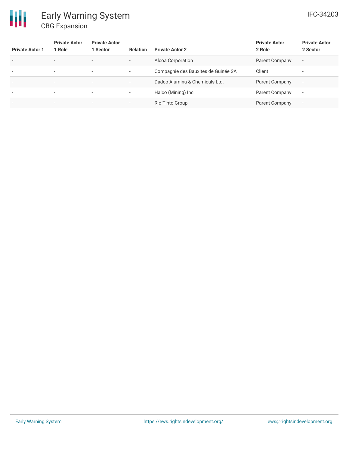

| <b>Private Actor 1</b>   | <b>Private Actor</b><br>1 Role | <b>Private Actor</b><br>1 Sector | <b>Relation</b>          | <b>Private Actor 2</b>              | <b>Private Actor</b><br>2 Role | <b>Private Actor</b><br>2 Sector |
|--------------------------|--------------------------------|----------------------------------|--------------------------|-------------------------------------|--------------------------------|----------------------------------|
| $\overline{\phantom{a}}$ | $\overline{\phantom{a}}$       | $\overline{\phantom{a}}$         | $\overline{\phantom{a}}$ | Alcoa Corporation                   | Parent Company                 | $\overline{\phantom{a}}$         |
| $\overline{\phantom{a}}$ | ۰                              | $\overline{\phantom{a}}$         | $\sim$                   | Compagnie des Bauxites de Guinée SA | Client                         | $\overline{\phantom{a}}$         |
| $\overline{\phantom{0}}$ | $\overline{\phantom{a}}$       | $\overline{\phantom{0}}$         | $\overline{\phantom{0}}$ | Dadco Alumina & Chemicals Ltd.      | Parent Company                 | $\overline{\phantom{a}}$         |
| $\overline{\phantom{a}}$ | $\overline{\phantom{a}}$       | $\overline{\phantom{a}}$         | $\overline{\phantom{a}}$ | Halco (Mining) Inc.                 | <b>Parent Company</b>          | $\overline{\phantom{a}}$         |
| $\overline{\phantom{a}}$ |                                | $\overline{\phantom{a}}$         | $\overline{\phantom{0}}$ | Rio Tinto Group                     | Parent Company                 | $\overline{\phantom{a}}$         |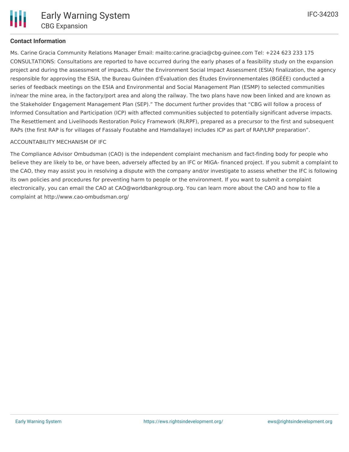# **Contact Information**

Ms. Carine Gracia Community Relations Manager Email: mailto:carine.gracia@cbg-guinee.com Tel: +224 623 233 175 CONSULTATIONS: Consultations are reported to have occurred during the early phases of a feasibility study on the expansion project and during the assessment of impacts. After the Environment Social Impact Assessment (ESIA) finalization, the agency responsible for approving the ESIA, the Bureau Guinéen d'Évaluation des Études Environnementales (BGÉÉE) conducted a series of feedback meetings on the ESIA and Environmental and Social Management Plan (ESMP) to selected communities in/near the mine area, in the factory/port area and along the railway. The two plans have now been linked and are known as the Stakeholder Engagement Management Plan (SEP)." The document further provides that "CBG will follow a process of Informed Consultation and Participation (ICP) with affected communities subjected to potentially significant adverse impacts. The Resettlement and Livelihoods Restoration Policy Framework (RLRPF), prepared as a precursor to the first and subsequent RAPs (the first RAP is for villages of Fassaly Foutabhe and Hamdallaye) includes ICP as part of RAP/LRP preparation".

### ACCOUNTABILITY MECHANISM OF IFC

The Compliance Advisor Ombudsman (CAO) is the independent complaint mechanism and fact-finding body for people who believe they are likely to be, or have been, adversely affected by an IFC or MIGA- financed project. If you submit a complaint to the CAO, they may assist you in resolving a dispute with the company and/or investigate to assess whether the IFC is following its own policies and procedures for preventing harm to people or the environment. If you want to submit a complaint electronically, you can email the CAO at CAO@worldbankgroup.org. You can learn more about the CAO and how to file a complaint at http://www.cao-ombudsman.org/